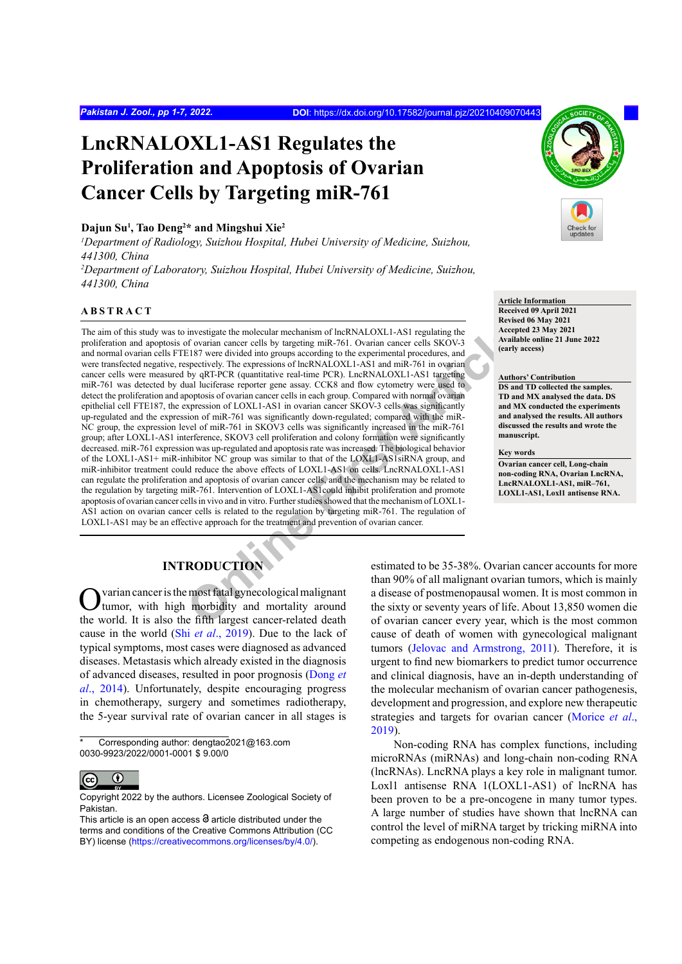# **LncRNALOXL1-AS1 Regulates the Proliferation and Apoptosis of Ovarian Cancer Cells by Targeting miR-761**

#### **Dajun Su1 , Tao Deng2 \* and Mingshui Xie2**

*1 Department of Radiology, Suizhou Hospital, Hubei University of Medicine, Suizhou, 441300, China*

*2 Department of Laboratory, Suizhou Hospital, Hubei University of Medicine, Suizhou, 441300, China*

# **ABSTRACT**

investigate the molecular mechanism of lncRNALOXL1-AS1 regulating the<br>
of ovarian cancer cells by targeting mik-761. Ovarian cancer cells SKOV-3<br>
Available E187 were divided into groups according to the experimental proced The aim of this study was to investigate the molecular mechanism of lncRNALOXL1-AS1 regulating the proliferation and apoptosis of ovarian cancer cells by targeting miR-761. Ovarian cancer cells SKOV-3 and normal ovarian cells FTE187 were divided into groups according to the experimental procedures, and were transfected negative, respectively. The expressions of lncRNALOXL1-AS1 and miR-761 in ovarian cancer cells were measured by qRT-PCR (quantitative real-time PCR). LncRNALOXL1-AS1 targeting miR-761 was detected by dual luciferase reporter gene assay. CCK8 and flow cytometry were used to detect the proliferation and apoptosis of ovarian cancer cells in each group. Compared with normal ovarian epithelial cell FTE187, the expression of LOXL1-AS1 in ovarian cancer SKOV-3 cells was significantly up-regulated and the expression of miR-761 was significantly down-regulated; compared with the miR-NC group, the expression level of miR-761 in SKOV3 cells was significantly increased in the miR-761 group; after LOXL1-AS1 interference, SKOV3 cell proliferation and colony formation were significantly decreased. miR-761 expression was up-regulated and apoptosis rate was increased. The biological behavior of the LOXL1-AS1+ miR-inhibitor NC group was similar to that of the LOXL1-AS1siRNA group, and miR-inhibitor treatment could reduce the above effects of LOXL1-AS1 on cells. LncRNALOXL1-AS1 can regulate the proliferation and apoptosis of ovarian cancer cells, and the mechanism may be related to the regulation by targeting miR-761. Intervention of LOXL1-AS1could inhibit proliferation and promote apoptosis of ovarian cancer cells in vivo and in vitro. Further studies showed that the mechanism of LOXL1- AS1 action on ovarian cancer cells is related to the regulation by targeting miR-761. The regulation of LOXL1-AS1 may be an effective approach for the treatment and prevention of ovarian cancer.



**Article Information Received 09 April 2021 Revised 06 May 2021 Accepted 23 May 2021 Available online 21 June 2022 (early access)**

#### **Authors' Contribution**

**DS and TD collected the samples. TD and MX analysed the data. DS and MX conducted the experiments and analysed the results. All authors discussed the results and wrote the manuscript.**

**Key words**

**Ovarian cancer cell, Long-chain non-coding RNA, Ovarian LncRNA, LncRNALOXL1-AS1, miR–761, LOXL1-AS1, Loxl1 antisense RNA.**

# **INTRODUCTION**

varian cancer is the most fatal gynecological malignant tumor, with high morbidity and mortality around the world. It is also the fifth largest cancer-related death cause in the world (Shi *et al*[., 2019\)](#page-6-0). Due to the lack of typical symptoms, most cases were diagnosed as advanced diseases. Metastasis which already existed in the diagnosis of advanced diseases, resulted in poor prognosis [\(Dong](#page-5-0) *et al*[., 2014](#page-5-0)). Unfortunately, despite encouraging progress in chemotherapy, surgery and sometimes radiotherapy, the 5-year survival rate of ovarian cancer in all stages is

Corresponding author: dengtao2021@163.com 0030-9923/2022/0001-0001 \$ 9.00/0



Copyright 2022 by the authors. Licensee Zoological Society of Pakistan.

estimated to be 35-38%. Ovarian cancer accounts for more than 90% of all malignant ovarian tumors, which is mainly a disease of postmenopausal women. It is most common in the sixty or seventy years of life. About 13,850 women die of ovarian cancer every year, which is the most common cause of death of women with gynecological malignant tumors ([Jelovac and Armstrong, 2011\)](#page-5-1). Therefore, it is urgent to find new biomarkers to predict tumor occurrence and clinical diagnosis, have an in-depth understanding of the molecular mechanism of ovarian cancer pathogenesis, development and progression, and explore new therapeutic strategies and targets for ovarian cancer [\(Morice](#page-5-2) *et al*., [2019\)](#page-5-2).

Non-coding RNA has complex functions, including microRNAs (miRNAs) and long-chain non-coding RNA (lncRNAs). LncRNA plays a key role in malignant tumor. Loxl1 antisense RNA 1(LOXL1-AS1) of lncRNA has been proven to be a pre-oncogene in many tumor types. A large number of studies have shown that lncRNA can control the level of miRNA target by tricking miRNA into competing as endogenous non-coding RNA.

This article is an open access  $\Theta$  article distributed under the terms and conditions of the Creative Commons Attribution (CC BY) license (https://creativecommons.org/licenses/by/4.0/).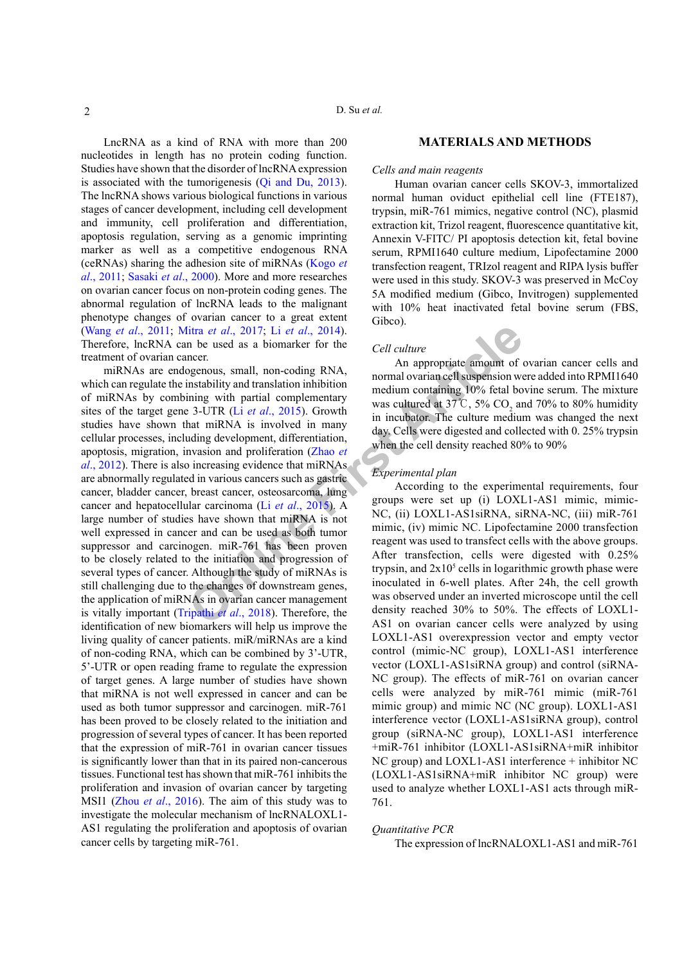LncRNA as a kind of RNA with more than 200 nucleotides in length has no protein coding function. Studies have shown that the disorder of lncRNA expression is associated with the tumorigenesis ([Qi and Du, 2013](#page-6-1)). The lncRNA shows various biological functions in various stages of cancer development, including cell development and immunity, cell proliferation and differentiation, apoptosis regulation, serving as a genomic imprinting marker as well as a competitive endogenous RNA (ceRNAs) sharing the adhesion site of miRNAs ([Kogo](#page-5-3) *et al*[., 2011](#page-5-3); [Sasaki](#page-6-2) *et al*., 2000). More and more researches on ovarian cancer focus on non-protein coding genes. The abnormal regulation of lncRNA leads to the malignant phenotype changes of ovarian cancer to a great extent (Wang *et al*[., 2011](#page-6-3); Mitra *et al*., 2017; Li *et al*., 2014). Therefore, lncRNA can be used as a biomarker for the treatment of ovarian cancer.

**EXECUTE ART C[O](#page-6-5)NSERVATE:**<br>
Int[e](#page-5-6)[r](#page-6-4)act and, 2017; Li et al., 2014).<br>
Subsequences.<br>
OBJ considers a properties amount of<br>
Subsequences, small, non-coding RNA,<br>
Interact and moral ovarian cell suspension we<br>
have a constructe miRNAs are endogenous, small, non-coding RNA, which can regulate the instability and translation inhibition of miRNAs by combining with partial complementary sites of the target gene 3-UTR (Li *et al*., 2015). Growth studies have shown that miRNA is involved in many cellular processes, including development, differentiation, apoptosis, migration, invasion and proliferation (Zhao *et al*[., 2012](#page-6-4)). There is also increasing evidence that miRNAs are abnormally regulated in various cancers such as gastric cancer, bladder cancer, breast cancer, osteosarcoma, lung cancer and hepatocellular carcinoma (Li *et al*., 2015). A large number of studies have shown that miRNA is not well expressed in cancer and can be used as both tumor suppressor and carcinogen. miR-761 has been proven to be closely related to the initiation and progression of several types of cancer. Although the study of miRNAs is still challenging due to the changes of downstream genes, the application of miRNAs in ovarian cancer management is vitally important (Tripathi *et al*., 2018). Therefore, the identification of new biomarkers will help us improve the living quality of cancer patients. miR/miRNAs are a kind of non-coding RNA, which can be combined by 3'-UTR, 5'-UTR or open reading frame to regulate the expression of target genes. A large number of studies have shown that miRNA is not well expressed in cancer and can be used as both tumor suppressor and carcinogen. miR-761 has been proved to be closely related to the initiation and progression of several types of cancer. It has been reported that the expression of miR-761 in ovarian cancer tissues is significantly lower than that in its paired non-cancerous tissues. Functional test has shown that miR-761 inhibits the proliferation and invasion of ovarian cancer by targeting MSI1 (Zhou *et al*[., 2016\)](#page-6-6). The aim of this study was to investigate the molecular mechanism of lncRNALOXL1- AS1 regulating the proliferation and apoptosis of ovarian cancer cells by targeting miR-761.

# **MATERIALS AND METHODS**

### *Cells and main reagents*

Human ovarian cancer cells SKOV-3, immortalized normal human oviduct epithelial cell line (FTE187), trypsin, miR-761 mimics, negative control (NC), plasmid extraction kit, Trizol reagent, fluorescence quantitative kit, Annexin V-FITC/ PI apoptosis detection kit, fetal bovine serum, RPMI1640 culture medium, Lipofectamine 2000 transfection reagent, TRIzol reagent and RIPA lysis buffer were used in this study. SKOV-3 was preserved in McCoy 5A modified medium (Gibco, Invitrogen) supplemented with 10% heat inactivated fetal bovine serum (FBS, Gibco).

#### *Cell culture*

An appropriate amount of ovarian cancer cells and normal ovarian cell suspension were added into RPMI1640 medium containing 10% fetal bovine serum. The mixture was cultured at 37°C, 5%  $CO_2$  and 70% to 80% humidity in incubator. The culture medium was changed the next day. Cells were digested and collected with 0. 25% trypsin when the cell density reached 80% to 90%

# *Experimental plan*

According to the experimental requirements, four groups were set up (i) LOXL1-AS1 mimic, mimic-NC, (ii) LOXL1-AS1siRNA, siRNA-NC, (iii) miR-761 mimic, (iv) mimic NC. Lipofectamine 2000 transfection reagent was used to transfect cells with the above groups. After transfection, cells were digested with 0.25% trypsin, and  $2x10<sup>5</sup>$  cells in logarithmic growth phase were inoculated in 6-well plates. After 24h, the cell growth was observed under an inverted microscope until the cell density reached 30% to 50%. The effects of LOXL1- AS1 on ovarian cancer cells were analyzed by using LOXL1-AS1 overexpression vector and empty vector control (mimic-NC group), LOXL1-AS1 interference vector (LOXL1-AS1siRNA group) and control (siRNA-NC group). The effects of miR-761 on ovarian cancer cells were analyzed by miR-761 mimic (miR-761 mimic group) and mimic NC (NC group). LOXL1-AS1 interference vector (LOXL1-AS1siRNA group), control group (siRNA-NC group), LOXL1-AS1 interference +miR-761 inhibitor (LOXL1-AS1siRNA+miR inhibitor NC group) and LOXL1-AS1 interference + inhibitor NC (LOXL1-AS1siRNA+miR inhibitor NC group) were used to analyze whether LOXL1-AS1 acts through miR-761.

## *Quantitative PCR*

The expression of lncRNALOXL1-AS1 and miR-761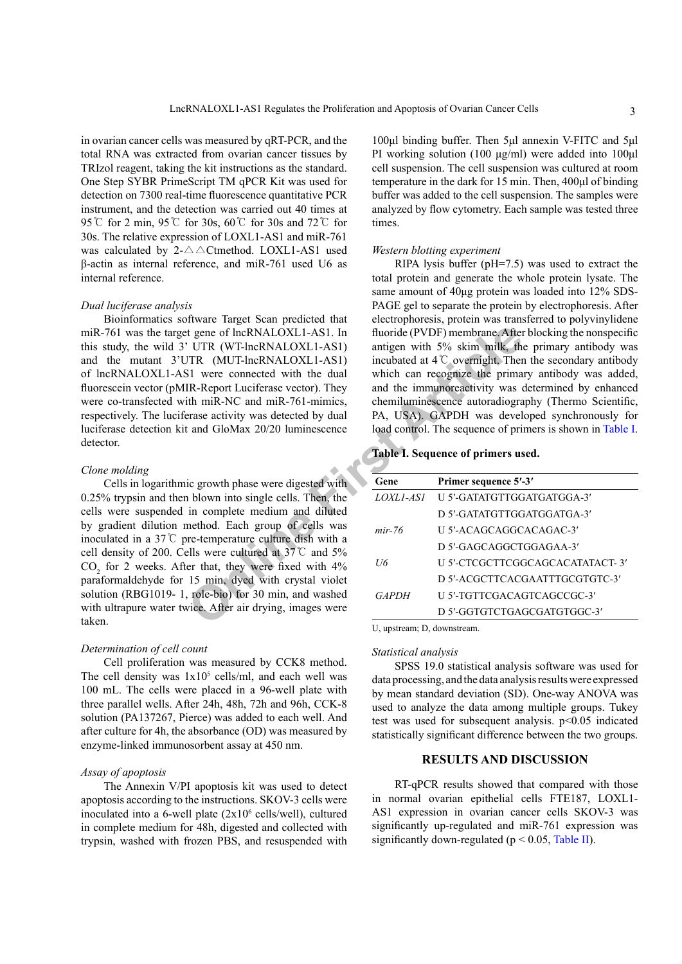in ovarian cancer cells was measured by qRT-PCR, and the total RNA was extracted from ovarian cancer tissues by TRIzol reagent, taking the kit instructions as the standard. One Step SYBR PrimeScript TM qPCR Kit was used for detection on 7300 real-time fluorescence quantitative PCR instrument, and the detection was carried out 40 times at 95℃ for 2 min, 95℃ for 30s, 60℃ for 30s and 72℃ for 30s. The relative expression of LOXL1-AS1 and miR-761 was calculated by  $2-\triangle \triangle C$ tmethod. LOXL1-AS1 used β-actin as internal reference, and miR-761 used U6 as internal reference.

#### *Dual luciferase analysis*

Bioinformatics software Target Scan predicted that miR-761 was the target gene of lncRNALOXL1-AS1. In this study, the wild 3' UTR (WT-lncRNALOXL1-AS1) and the mutant 3'UTR (MUT-lncRNALOXL1-AS1) of lncRNALOXL1-AS1 were connected with the dual fluorescein vector (pMIR-Report Luciferase vector). They were co-transfected with miR-NC and miR-761-mimics, respectively. The luciferase activity was detected by dual luciferase detection kit and GloMax 20/20 luminescence detector.

# *Clone molding*

t gene of lncRNALOXL1-AS1. In fluoride (PVDF) membrane. After<br>
UTR (WT-lncRNALOXL1-AS1) antigen with 5% skim milk, the<br>
INR (MUT-lncRNALOXL1-AS1) incubated at 4 °C overright. There<br>
SI were connected with the dual<br>
IR-Repo Cells in logarithmic growth phase were digested with 0.25% trypsin and then blown into single cells. Then, the cells were suspended in complete medium and diluted by gradient dilution method. Each group of cells was inoculated in a 37℃ pre-temperature culture dish with a cell density of 200. Cells were cultured at 37℃ and 5%  $CO<sub>2</sub>$  for 2 weeks. After that, they were fixed with  $4\%$ paraformaldehyde for 15 min, dyed with crystal violet solution (RBG1019- 1, role-bio) for 30 min, and washed with ultrapure water twice. After air drying, images were taken.

## *Determination of cell count*

Cell proliferation was measured by CCK8 method. The cell density was  $1x10^5$  cells/ml, and each well was 100 mL. The cells were placed in a 96-well plate with three parallel wells. After 24h, 48h, 72h and 96h, CCK-8 solution (PA137267, Pierce) was added to each well. And after culture for 4h, the absorbance (OD) was measured by enzyme-linked immunosorbent assay at 450 nm.

# *Assay of apoptosis*

The Annexin V/PI apoptosis kit was used to detect apoptosis according to the instructions. SKOV-3 cells were inoculated into a 6-well plate  $(2x10<sup>6</sup>$  cells/well), cultured in complete medium for 48h, digested and collected with trypsin, washed with frozen PBS, and resuspended with

100μl binding buffer. Then 5μl annexin V-FITC and 5μl PI working solution (100 μg/ml) were added into 100μl cell suspension. The cell suspension was cultured at room temperature in the dark for 15 min. Then, 400μl of binding buffer was added to the cell suspension. The samples were analyzed by flow cytometry. Each sample was tested three times.

#### *Western blotting experiment*

RIPA lysis buffer (pH=7.5) was used to extract the total protein and generate the whole protein lysate. The same amount of 40μg protein was loaded into 12% SDS-PAGE gel to separate the protein by electrophoresis. After electrophoresis, protein was transferred to polyvinylidene fluoride (PVDF) membrane. After blocking the nonspecific antigen with 5% skim milk, the primary antibody was incubated at 4℃ overnight. Then the secondary antibody which can recognize the primary antibody was added, and the immunoreactivity was determined by enhanced chemiluminescence autoradiography (Thermo Scientific, PA, USA). GAPDH was developed synchronously for load control. The sequence of primers is shown in [Table I](#page-2-0).

#### <span id="page-2-0"></span>**Table I. Sequence of primers used.**

| Gene         | Primer sequence 5'-3'            |
|--------------|----------------------------------|
| LOXLI-ASI    | U 5'-GATATGTTGGATGATGGA-3'       |
|              | D 5'-GATATGTTGGATGGATGA-3'       |
| $mir-76$     | U 5'-ACAGCAGGCACAGAC-3'          |
|              | D 5'-GAGCAGGCTGGAGAA-3'          |
| Н6           | U 5'-CTCGCTTCGGCAGCACATATACT- 3' |
|              | D 5'-ACGCTTCACGAATTTGCGTGTC-3'   |
| <i>GAPDH</i> | U 5'-TGTTCGACAGTCAGCCGC-3'       |
|              | D 5'-GGTGTCTGAGCGATGTGGC-3'      |

U, upstream; D, downstream.

#### *Statistical analysis*

SPSS 19.0 statistical analysis software was used for data processing, and the data analysis results were expressed by mean standard deviation (SD). One-way ANOVA was used to analyze the data among multiple groups. Tukey test was used for subsequent analysis.  $p \le 0.05$  indicated statistically significant difference between the two groups.

# **RESULTS AND DISCUSSION**

RT-qPCR results showed that compared with those in normal ovarian epithelial cells FTE187, LOXL1- AS1 expression in ovarian cancer cells SKOV-3 was significantly up-regulated and miR-761 expression was significantly down-regulated ( $p < 0.05$ , [Table II\)](#page-3-0).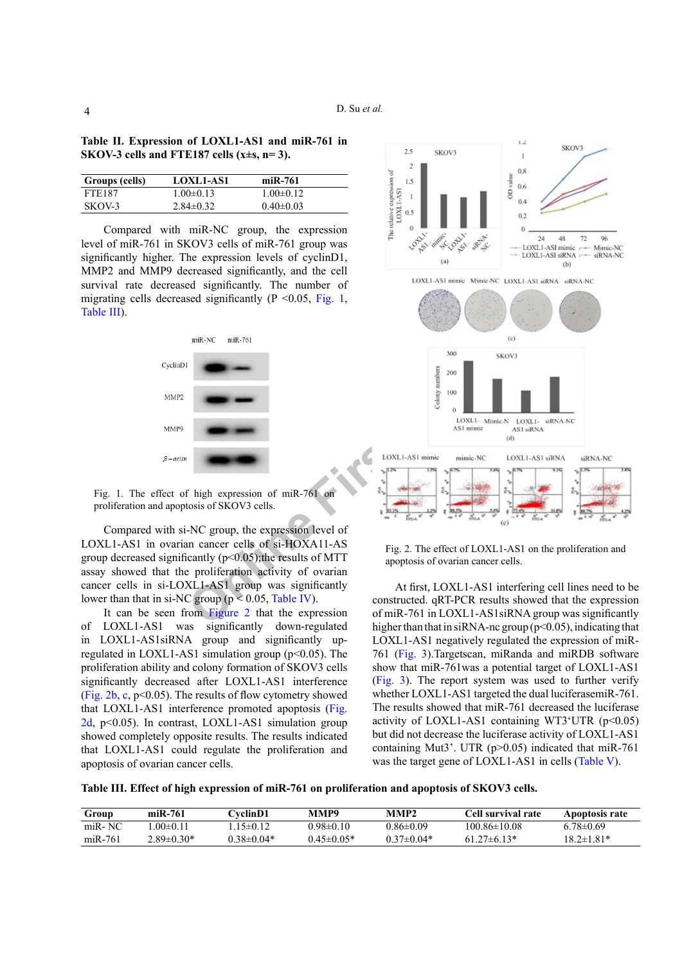<span id="page-3-0"></span>

| Table II. Expression of LOXL1-AS1 and miR-761 in |  |  |
|--------------------------------------------------|--|--|
| SKOV-3 cells and FTE187 cells (x $\pm$ s, n=3).  |  |  |

| Groups (cells) | <b>LOXL1-AS1</b> | $miR-761$       |
|----------------|------------------|-----------------|
| <b>FTE187</b>  | $1.00 \pm 0.13$  | $1.00 \pm 0.12$ |
| SKOV-3         | $2.84\pm0.32$    | $0.40 \pm 0.03$ |

Compared with miR-NC group, the expression level of miR-761 in SKOV3 cells of miR-761 group was significantly higher. The expression levels of cyclinD1, MMP2 and MMP9 decreased significantly, and the cell survival rate decreased significantly. The number of migrating cells decreased significantly ( $P \le 0.05$ , [Fig. 1,](#page-3-1) [Table III](#page-3-2)).



<span id="page-3-1"></span>Fig. 1. The effect of high expression of miR-761 on proliferation and apoptosis of SKOV3 cells.

Compared with si-NC group, the expression level of LOXL1-AS1 in ovarian cancer cells of si-HOXA11-AS group decreased significantly  $(p<0.05)$ ; the results of MTT assay showed that the proliferation activity of ovarian cancer cells in si-LOXL1-AS1 group was significantly lower than that in si-NC group ( $p < 0.05$ , Table IV).

It can be seen from Figure 2 that the expression of LOXL1-AS1 was significantly down-regulated in LOXL1-AS1siRNA group and significantly upregulated in LOXL1-AS1 simulation group ( $p<0.05$ ). The proliferation ability and colony formation of SKOV3 cells significantly decreased after LOXL1-AS1 interference [\(Fig. 2b](#page-3-3), [c](#page-3-3),  $p<0.05$ ). The results of flow cytometry showed that LOXL1-AS1 interference promoted apoptosis ([Fig.](#page-3-3) [2d](#page-3-3), p<0.05). In contrast, LOXL1-AS1 simulation group showed completely opposite results. The results indicated that LOXL1-AS1 could regulate the proliferation and apoptosis of ovarian cancer cells.



<span id="page-3-3"></span>Fig. 2. The effect of LOXL1-AS1 on the proliferation and apoptosis of ovarian cancer cells.

At first, LOXL1-AS1 interfering cell lines need to be constructed. qRT-PCR results showed that the expression of miR-761 in LOXL1-AS1siRNA group was significantly higher than that in siRNA-nc group ( $p$ <0.05), indicating that LOXL1-AS1 negatively regulated the expression of miR-761 ([Fig. 3](#page-4-1)).Targetscan, miRanda and miRDB software show that miR-761was a potential target of LOXL1-AS1 [\(Fig. 3](#page-4-1)). The report system was used to further verify whether LOXL1-AS1 targeted the dual luciferasemiR-761. The results showed that miR-761 decreased the luciferase activity of LOXL1-AS1 containing WT3'UTR  $(p<0.05)$ but did not decrease the luciferase activity of LOXL1-AS1 containing Mut3'. UTR (p>0.05) indicated that miR-761 was the target gene of LOXL1-AS1 in cells ([Table V\)](#page-4-2).

<span id="page-3-2"></span>**Table III. Effect of high expression of miR-761 on proliferation and apoptosis of SKOV3 cells.**

| Group   | $miR-761$        | <b>CvelinD1</b>  | MMP9             | MMP2            | Cell survival rate | Apoptosis rate   |
|---------|------------------|------------------|------------------|-----------------|--------------------|------------------|
| miR-NC  | .00 $\pm$ 0.11   | $15\pm 0.12$     | 0.98±0.10        | $0.86 \pm 0.09$ | 100.86±10.08       | $6.78 \pm 0.69$  |
| miR-761 | $2.89 \pm 0.30*$ | $0.38 \pm 0.04*$ | $0.45 \pm 0.05*$ | $0.37\pm 0.04*$ | $61.27\pm6.13*$    | $18.2 \pm 1.81*$ |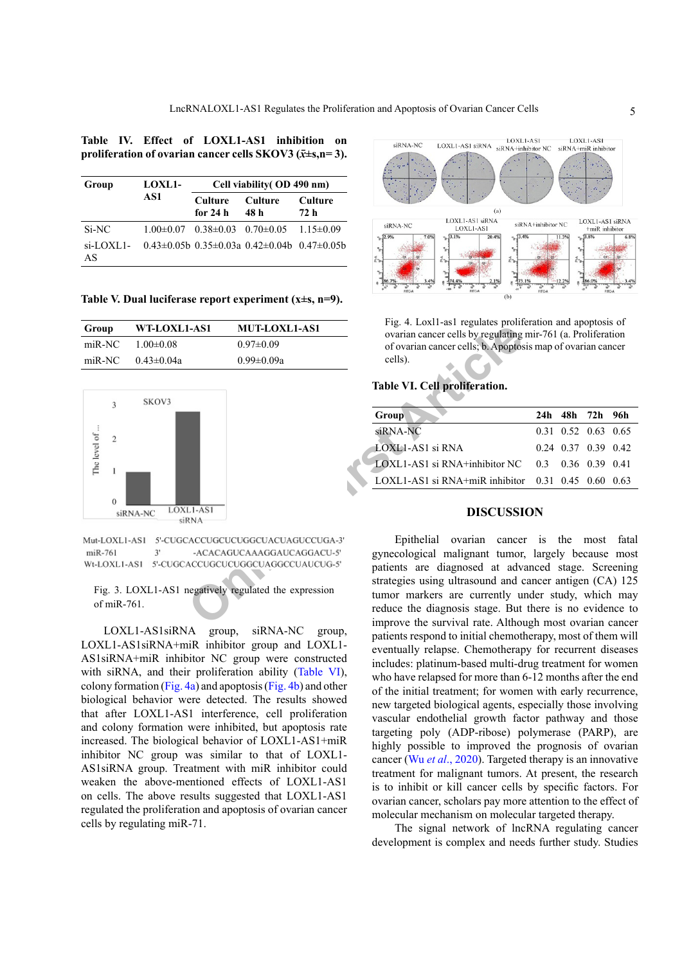# <span id="page-4-0"></span>**Table IV. Effect of LOXL1-AS1 inhibition on proliferation of ovarian cancer cells SKOV3 (***x̄***±s,n= 3).**

| Group              | <b>LOXL1-</b><br>AS1 | Cell viability (OD 490 nm)                |                                                             |                       |  |
|--------------------|----------------------|-------------------------------------------|-------------------------------------------------------------|-----------------------|--|
|                    |                      | Culture<br>for $24h$                      | <b>Culture</b><br>48 h                                      | <b>Culture</b><br>72h |  |
| Si-NC              |                      | $1.00\pm0.07$ $0.38\pm0.03$ $0.70\pm0.05$ |                                                             | $1.15 \pm 0.09$       |  |
| $Si$ -LOXL1-<br>AS |                      |                                           | $0.43\pm0.05b$ $0.35\pm0.03a$ $0.42\pm0.04b$ $0.47\pm0.05b$ |                       |  |

<span id="page-4-2"></span>**Table V. Dual luciferase report experiment (x±s, n=9).**

| Group  | WT-LOXL1-AS1     | <b>MUT-LOXL1-AS1</b> |  |  |
|--------|------------------|----------------------|--|--|
| miR-NC | $1.00 \pm 0.08$  | $0.97\pm0.09$        |  |  |
| miR-NC | $0.43 \pm 0.04a$ | $0.99 \pm 0.09a$     |  |  |



 $mR-761$ 

<span id="page-4-1"></span>Fig. 3. LOXL1-AS1 negatively regulated the expression of miR-761.

LOXL1-AS1siRNA group, siRNA-NC group, LOXL1-AS1siRNA+miR inhibitor group and LOXL1- AS1siRNA+miR inhibitor NC group were constructed with siRNA, and their proliferation ability ([Table VI](#page-4-3)), colony formation ([Fig. 4a\)](#page-4-4) and apoptosis [\(Fig. 4b](#page-4-4)) and other biological behavior were detected. The results showed that after LOXL1-AS1 interference, cell proliferation and colony formation were inhibited, but apoptosis rate increased. The biological behavior of LOXL1-AS1+miR inhibitor NC group was similar to that of LOXL1- AS1siRNA group. Treatment with miR inhibitor could weaken the above-mentioned effects of LOXL1-AS1 on cells. The above results suggested that LOXL1-AS1 regulated the proliferation and apoptosis of ovarian cancer cells by regulating miR-71.



<span id="page-4-4"></span>Fig. 4. Loxl1-as1 regulates proliferation and apoptosis of ovarian cancer cells by regulating mir-761 (a. Proliferation of ovarian cancer cells; b. Apoptosis map of ovarian cancer cells).

# <span id="page-4-3"></span>**Table VI. Cell proliferation.**

| Group                                                      |  | 24h 48h 72h 96h             |  |
|------------------------------------------------------------|--|-----------------------------|--|
| siRNA-NC                                                   |  | $0.31$ $0.52$ $0.63$ $0.65$ |  |
| LOXL1-AS1 si RNA                                           |  | $0.24$ 0.37 0.39 0.42       |  |
| $-LOXLI-AS1$ si RNA+inhibitor NC $0.3$ 0.36 0.39 0.41      |  |                             |  |
| LOXL1-AS1 si RNA+miR inhibitor $0.31$ $0.45$ $0.60$ $0.63$ |  |                             |  |
|                                                            |  |                             |  |

# **DISCUSSION**

**CONCERTY ARTICLES**<br>
Online Contain cancer cells by regulating<br>
Online of ovarian cancer cells, b. Apoptos<br>
Convince and Convince cells, b. Apoptos<br>
Convince cells, b. Apoptos<br>
Convince cells, b. Apoptos<br>
Signals and Convi Epithelial ovarian cancer is the most fatal gynecological malignant tumor, largely because most patients are diagnosed at advanced stage. Screening strategies using ultrasound and cancer antigen (CA) 125 tumor markers are currently under study, which may reduce the diagnosis stage. But there is no evidence to improve the survival rate. Although most ovarian cancer patients respond to initial chemotherapy, most of them will eventually relapse. Chemotherapy for recurrent diseases includes: platinum-based multi-drug treatment for women who have relapsed for more than 6-12 months after the end of the initial treatment; for women with early recurrence, new targeted biological agents, especially those involving vascular endothelial growth factor pathway and those targeting poly (ADP-ribose) polymerase (PARP), are highly possible to improved the prognosis of ovarian cancer (Wu *et al*[., 2020](#page-6-7)). Targeted therapy is an innovative treatment for malignant tumors. At present, the research is to inhibit or kill cancer cells by specific factors. For ovarian cancer, scholars pay more attention to the effect of molecular mechanism on molecular targeted therapy.

> The signal network of lncRNA regulating cancer development is complex and needs further study. Studies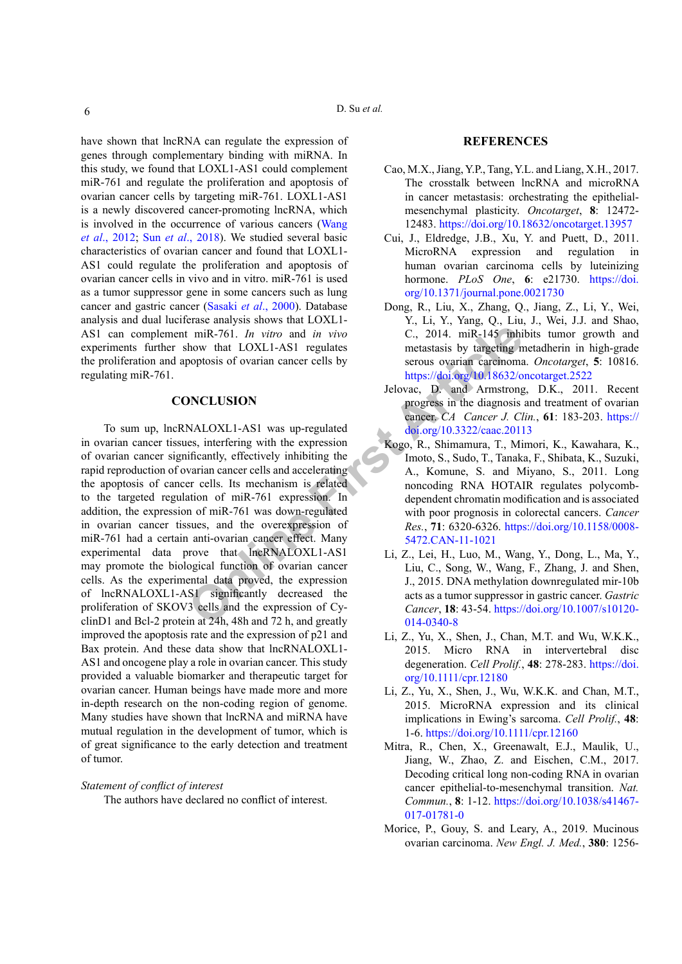have shown that lncRNA can regulate the expression of genes through complementary binding with miRNA. In this study, we found that LOXL1-AS1 could complement miR-761 and regulate the proliferation and apoptosis of ovarian cancer cells by targeting miR-761. LOXL1-AS1 is a newly discovered cancer-promoting lncRNA, which is involved in the occurrence of various cancers [\(Wang](#page-6-8) *et al*[., 2012](#page-6-8); Sun *et al*[., 2018\)](#page-6-9). We studied several basic characteristics of ovarian cancer and found that LOXL1- AS1 could regulate the proliferation and apoptosis of ovarian cancer cells in vivo and in vitro. miR-761 is used as a tumor suppressor gene in some cancers such as lung cancer and gastric cancer (Sasaki *et al*[., 2000\)](#page-6-2). Database analysis and dual luciferase analysis shows that LOXL1- AS1 can complement miR-761. *In vitro* and *in vivo* experiments further show that LOXL1-AS1 regulates the proliferation and apoptosis of ovarian cancer cells by regulating miR-761.

# **CONCLUSION**

**Example 1 C. 2014 [A](https://doi.org/10.3322/caac.20113) Example 1 C. 2014 A Example 145 C. A Example 145 A Example 145 A Example 145 C. CONLI-AS1 Example 145 Example 145 Example 145 Example 146 Example 146 Examp** To sum up, lncRNALOXL1-AS1 was up-regulated in ovarian cancer tissues, interfering with the expression of ovarian cancer significantly, effectively inhibiting the rapid reproduction of ovarian cancer cells and accelerating the apoptosis of cancer cells. Its mechanism is related to the targeted regulation of miR-761 expression. In addition, the expression of miR-761 was down-regulated in ovarian cancer tissues, and the overexpression of miR-761 had a certain anti-ovarian cancer effect. Many experimental data prove that lncRNALOXL1-AS1 may promote the biological function of ovarian cancer cells. As the experimental data proved, the expression of lncRNALOXL1-AS1 significantly decreased the proliferation of SKOV3 cells and the expression of CyclinD1 and Bcl-2 protein at 24h, 48h and 72 h, and greatly improved the apoptosis rate and the expression of p21 and Bax protein. And these data show that lncRNALOXL1- AS1 and oncogene play a role in ovarian cancer. This study provided a valuable biomarker and therapeutic target for ovarian cancer. Human beings have made more and more in-depth research on the non-coding region of genome. Many studies have shown that lncRNA and miRNA have mutual regulation in the development of tumor, which is of great significance to the early detection and treatment of tumor.

#### *Statement of conflict of interest*

The authors have declared no conflict of interest.

#### **REFERENCES**

- Cao, M.X., Jiang, Y.P., Tang, Y.L. and Liang, X.H., 2017. The crosstalk between lncRNA and microRNA in cancer metastasis: orchestrating the epithelialmesenchymal plasticity. *Oncotarget*, **8**: 12472- 12483.<https://doi.org/10.18632/oncotarget.13957>
- Cui, J., Eldredge, J.B., Xu, Y. and Puett, D., 2011. MicroRNA expression and regulation in human ovarian carcinoma cells by luteinizing hormone. *PLoS One*, **6**: e21730. [https://doi.](https://doi.org/10.1371/journal.pone.0021730) [org/10.1371/journal.pone.0021730](https://doi.org/10.1371/journal.pone.0021730)
- <span id="page-5-0"></span>Dong, R., Liu, X., Zhang, Q., Jiang, Z., Li, Y., Wei, Y., Li, Y., Yang, Q., Liu, J., Wei, J.J. and Shao, C., 2014. miR-145 inhibits tumor growth and metastasis by targeting metadherin in high-grade serous ovarian carcinoma. *Oncotarget*, **5**: 10816. <https://doi.org/10.18632/oncotarget.2522>
- <span id="page-5-1"></span>Jelovac, D. and Armstrong, D.K., 2011. Recent progress in the diagnosis and treatment of ovarian cancer. *CA Cancer J. Clin.*, **61**: 183-203. [https://](https://doi.org/10.3322/caac.20113) doi.org/10.3322/caac.20113
- <span id="page-5-3"></span>Kogo, R., Shimamura, T., Mimori, K., Kawahara, K., Imoto, S., Sudo, T., Tanaka, F., Shibata, K., Suzuki, A., Komune, S. and Miyano, S., 2011. Long noncoding RNA HOTAIR regulates polycombdependent chromatin modification and is associated with poor prognosis in colorectal cancers. *Cancer Res.*, **71**: 6320-6326. [https://doi.org/10.1158/0008-](https://doi.org/10.1158/0008-5472.CAN-11-1021) 5472.CAN-11-1021
- <span id="page-5-5"></span>Li, Z., Lei, H., Luo, M., Wang, Y., Dong, L., Ma, Y., Liu, C., Song, W., Wang, F., Zhang, J. and Shen, J., 2015. DNA methylation downregulated mir-10b acts as a tumor suppressor in gastric cancer. *Gastric Cancer*, **18**: 43-54. [https://doi.org/10.1007/s10120-](https://doi.org/10.1007/s10120-014-0340-8) 014-0340-8
- <span id="page-5-6"></span>Li, Z., Yu, X., Shen, J., Chan, M.T. and Wu, W.K.K., 2015. Micro RNA in intervertebral disc degeneration. *Cell Prolif.*, **48**: 278-283. [https://doi.](https://doi.org/10.1111/cpr.12180) [org/10.1111/cpr.12180](https://doi.org/10.1111/cpr.12180)
- Li, Z., Yu, X., Shen, J., Wu, W.K.K. and Chan, M.T., 2015. MicroRNA expression and its clinical implications in Ewing's sarcoma. *Cell Prolif.*, **48**: 1-6. <https://doi.org/10.1111/cpr.12160>
- <span id="page-5-4"></span>Mitra, R., Chen, X., Greenawalt, E.J., Maulik, U., Jiang, W., Zhao, Z. and Eischen, C.M., 2017. Decoding critical long non-coding RNA in ovarian cancer epithelial-to-mesenchymal transition. *Nat. Commun.*, **8**: 1-12. [https://doi.org/10.1038/s41467-](https://doi.org/10.1038/s41467-017-01781-0) [017-01781-0](https://doi.org/10.1038/s41467-017-01781-0)
- <span id="page-5-2"></span>Morice, P., Gouy, S. and Leary, A., 2019. Mucinous ovarian carcinoma. *New Engl. J. Med.*, **380**: 1256-